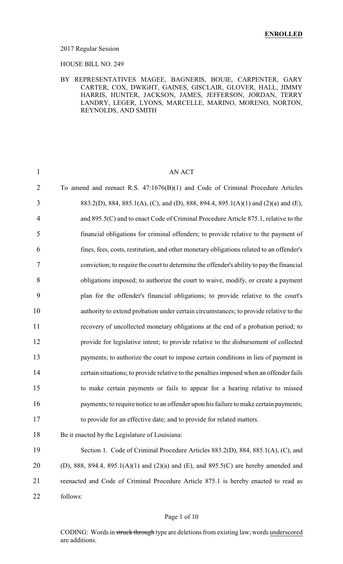#### 2017 Regular Session

HOUSE BILL NO. 249

#### BY REPRESENTATIVES MAGEE, BAGNERIS, BOUIE, CARPENTER, GARY CARTER, COX, DWIGHT, GAINES, GISCLAIR, GLOVER, HALL, JIMMY HARRIS, HUNTER, JACKSON, JAMES, JEFFERSON, JORDAN, TERRY LANDRY, LEGER, LYONS, MARCELLE, MARINO, MORENO, NORTON, REYNOLDS, AND SMITH

| $\mathbf{1}$   | <b>AN ACT</b>                                                                             |
|----------------|-------------------------------------------------------------------------------------------|
| $\overline{2}$ | To amend and reenact R.S. 47:1676(B)(1) and Code of Criminal Procedure Articles           |
| 3              | 883.2(D), 884, 885.1(A), (C), and (D), 888, 894.4, 895.1(A)(1) and (2)(a) and (E),        |
| $\overline{4}$ | and 895.5(C) and to enact Code of Criminal Procedure Article 875.1, relative to the       |
| 5              | financial obligations for criminal offenders; to provide relative to the payment of       |
| 6              | fines, fees, costs, restitution, and other monetary obligations related to an offender's  |
| 7              | conviction; to require the court to determine the offender's ability to pay the financial |
| 8              | obligations imposed; to authorize the court to waive, modify, or create a payment         |
| 9              | plan for the offender's financial obligations; to provide relative to the court's         |
| 10             | authority to extend probation under certain circumstances; to provide relative to the     |
| 11             | recovery of uncollected monetary obligations at the end of a probation period; to         |
| 12             | provide for legislative intent; to provide relative to the disbursement of collected      |
| 13             | payments; to authorize the court to impose certain conditions in lieu of payment in       |
| 14             | certain situations; to provide relative to the penalties imposed when an offender fails   |
| 15             | to make certain payments or fails to appear for a hearing relative to missed              |
| 16             | payments; to require notice to an offender upon his failure to make certain payments;     |
| 17             | to provide for an effective date; and to provide for related matters.                     |
| 18             | Be it enacted by the Legislature of Louisiana:                                            |
| 19             | Section 1. Code of Criminal Procedure Articles 883.2(D), 884, 885.1(A), (C), and          |
| 20             | (D), 888, 894.4, 895.1(A)(1) and (2)(a) and (E), and 895.5(C) are hereby amended and      |
| 21             | reenacted and Code of Criminal Procedure Article 875.1 is hereby enacted to read as       |
| 22             | follows:                                                                                  |

#### Page 1 of 10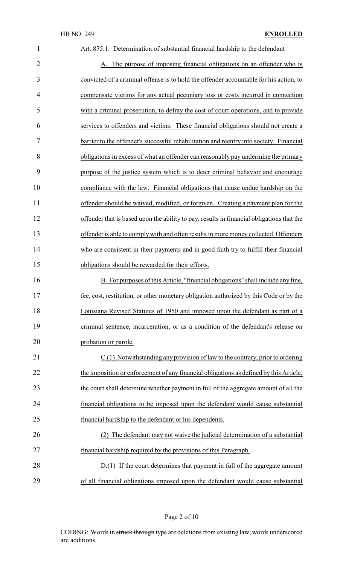| $\mathbf{1}$   | Art. 875.1. Determination of substantial financial hardship to the defendant              |
|----------------|-------------------------------------------------------------------------------------------|
| $\overline{2}$ | A. The purpose of imposing financial obligations on an offender who is                    |
| 3              | convicted of a criminal offense is to hold the offender accountable for his action, to    |
| 4              | compensate victims for any actual pecuniary loss or costs incurred in connection          |
| 5              | with a criminal prosecution, to defray the cost of court operations, and to provide       |
| 6              | services to offenders and victims. These financial obligations should not create a        |
| 7              | barrier to the offender's successful rehabilitation and reentry into society. Financial   |
| 8              | obligations in excess of what an offender can reasonably pay undermine the primary        |
| 9              | purpose of the justice system which is to deter criminal behavior and encourage           |
| 10             | compliance with the law. Financial obligations that cause undue hardship on the           |
| 11             | offender should be waived, modified, or forgiven. Creating a payment plan for the         |
| 12             | offender that is based upon the ability to pay, results in financial obligations that the |
| 13             | offender is able to comply with and often results in more money collected. Offenders      |
| 14             | who are consistent in their payments and in good faith try to fulfill their financial     |
| 15             | obligations should be rewarded for their efforts.                                         |
| 16             | B. For purposes of this Article, "financial obligations" shall include any fine,          |
| 17             | fee, cost, restitution, or other monetary obligation authorized by this Code or by the    |
| 18             | Louisiana Revised Statutes of 1950 and imposed upon the defendant as part of a            |
| 19             | criminal sentence, incarceration, or as a condition of the defendant's release on         |
| 20             | probation or parole.                                                                      |
| 21             | C.(1) Notwithstanding any provision of law to the contrary, prior to ordering             |
| 22             | the imposition or enforcement of any financial obligations as defined by this Article,    |
| 23             | the court shall determine whether payment in full of the aggregate amount of all the      |
| 24             | financial obligations to be imposed upon the defendant would cause substantial            |
| 25             | financial hardship to the defendant or his dependents.                                    |
| 26             | (2) The defendant may not waive the judicial determination of a substantial               |
| 27             | financial hardship required by the provisions of this Paragraph.                          |
| 28             | D.(1) If the court determines that payment in full of the aggregate amount                |
| 29             | of all financial obligations imposed upon the defendant would cause substantial           |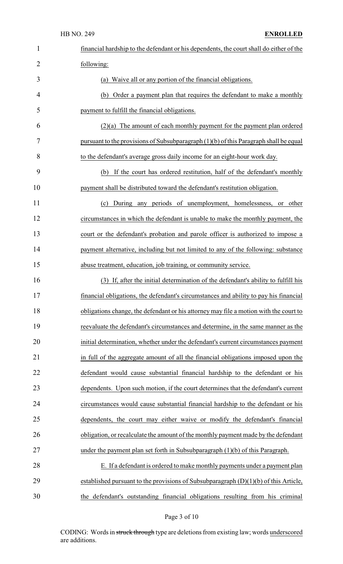| $\mathbf{1}$   | financial hardship to the defendant or his dependents, the court shall do either of the |
|----------------|-----------------------------------------------------------------------------------------|
| $\overline{2}$ | following:                                                                              |
| 3              | Waive all or any portion of the financial obligations.<br>(a)                           |
| 4              | Order a payment plan that requires the defendant to make a monthly<br>(b)               |
| 5              | payment to fulfill the financial obligations.                                           |
| 6              | $(2)(a)$ The amount of each monthly payment for the payment plan ordered                |
| 7              | pursuant to the provisions of Subsubparagraph (1)(b) of this Paragraph shall be equal   |
| 8              | to the defendant's average gross daily income for an eight-hour work day.               |
| 9              | If the court has ordered restitution, half of the defendant's monthly<br>(b)            |
| 10             | payment shall be distributed toward the defendant's restitution obligation.             |
| 11             | During any periods of unemployment, homelessness, or other<br>(c)                       |
| 12             | circumstances in which the defendant is unable to make the monthly payment, the         |
| 13             | court or the defendant's probation and parole officer is authorized to impose a         |
| 14             | payment alternative, including but not limited to any of the following: substance       |
| 15             | abuse treatment, education, job training, or community service.                         |
| 16             | (3) If, after the initial determination of the defendant's ability to fulfill his       |
| 17             | financial obligations, the defendant's circumstances and ability to pay his financial   |
| 18             | obligations change, the defendant or his attorney may file a motion with the court to   |
| 19             | reevaluate the defendant's circumstances and determine, in the same manner as the       |
| 20             | initial determination, whether under the defendant's current circumstances payment      |
| 21             | in full of the aggregate amount of all the financial obligations imposed upon the       |
| 22             | defendant would cause substantial financial hardship to the defendant or his            |
| 23             | dependents. Upon such motion, if the court determines that the defendant's current      |
| 24             | circumstances would cause substantial financial hardship to the defendant or his        |
| 25             | dependents, the court may either waive or modify the defendant's financial              |
| 26             | obligation, or recalculate the amount of the monthly payment made by the defendant      |
| 27             | under the payment plan set forth in Subsubparagraph $(1)(b)$ of this Paragraph.         |
| 28             | E. If a defendant is ordered to make monthly payments under a payment plan              |
| 29             | established pursuant to the provisions of Subsubparagraph $(D)(1)(b)$ of this Article,  |
| 30             | the defendant's outstanding financial obligations resulting from his criminal           |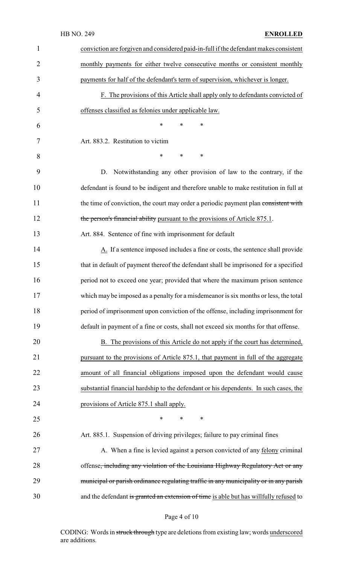|                | <b>HB NO. 249</b><br><b>ENROLLED</b>                                                   |
|----------------|----------------------------------------------------------------------------------------|
| $\mathbf{1}$   | conviction are forgiven and considered paid-in-full if the defendant makes consistent  |
| $\overline{2}$ | monthly payments for either twelve consecutive months or consistent monthly            |
| 3              | payments for half of the defendant's term of supervision, whichever is longer.         |
| 4              | F. The provisions of this Article shall apply only to defendants convicted of          |
| 5              | offenses classified as felonies under applicable law.                                  |
| 6              | $\ast$<br>$\ast$<br>*                                                                  |
| 7              | Art. 883.2. Restitution to victim                                                      |
| 8              | *<br>$\ast$<br>*                                                                       |
| 9              | Notwithstanding any other provision of law to the contrary, if the<br>D.               |
| 10             | defendant is found to be indigent and therefore unable to make restitution in full at  |
| 11             | the time of conviction, the court may order a periodic payment plan consistent with    |
| 12             | the person's financial ability pursuant to the provisions of Article 875.1.            |
| 13             | Art. 884. Sentence of fine with imprisonment for default                               |
| 14             | A. If a sentence imposed includes a fine or costs, the sentence shall provide          |
| 15             | that in default of payment thereof the defendant shall be imprisoned for a specified   |
| 16             | period not to exceed one year; provided that where the maximum prison sentence         |
| 17             | which may be imposed as a penalty for a misdemeanor is six months or less, the total   |
| 18             | period of imprisonment upon conviction of the offense, including imprisonment for      |
| 19             | default in payment of a fine or costs, shall not exceed six months for that offense.   |
| 20             | B. The provisions of this Article do not apply if the court has determined,            |
| 21             | pursuant to the provisions of Article 875.1, that payment in full of the aggregate     |
| 22             | amount of all financial obligations imposed upon the defendant would cause             |
| 23             | substantial financial hardship to the defendant or his dependents. In such cases, the  |
| 24             | provisions of Article 875.1 shall apply.                                               |
| 25             | $\ast$<br>*<br>∗                                                                       |
| 26             | Art. 885.1. Suspension of driving privileges; failure to pay criminal fines            |
| 27             | A. When a fine is levied against a person convicted of any felony criminal             |
| 28             | offense, including any violation of the Louisiana Highway Regulatory Act or any        |
| 29             | municipal or parish ordinance regulating traffic in any municipality or in any parish  |
| 30             | and the defendant is granted an extension of time is able but has willfully refused to |

# Page 4 of 10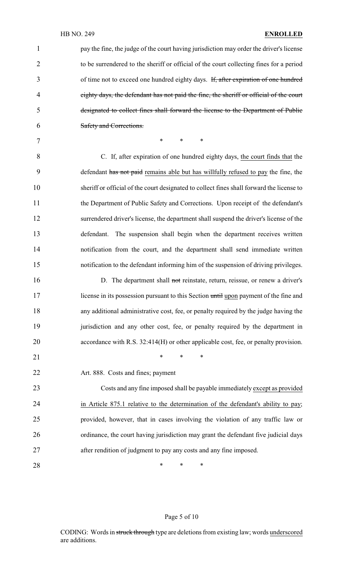| $\mathbf{1}$   | pay the fine, the judge of the court having jurisdiction may order the driver's license   |
|----------------|-------------------------------------------------------------------------------------------|
| $\overline{2}$ | to be surrendered to the sheriff or official of the court collecting fines for a period   |
| 3              | of time not to exceed one hundred eighty days. If, after expiration of one hundred        |
| $\overline{4}$ | eighty days, the defendant has not paid the fine, the sheriff or official of the court    |
| 5              | designated to collect fines shall forward the license to the Department of Public         |
| 6              | Safety and Corrections.                                                                   |
| $\overline{7}$ | $\ast$<br>$\ast$<br>*                                                                     |
| 8              | C. If, after expiration of one hundred eighty days, the court finds that the              |
| 9              | defendant has not paid remains able but has willfully refused to pay the fine, the        |
| 10             | sheriff or official of the court designated to collect fines shall forward the license to |
| 11             | the Department of Public Safety and Corrections. Upon receipt of the defendant's          |
| 12             | surrendered driver's license, the department shall suspend the driver's license of the    |
| 13             | The suspension shall begin when the department receives written<br>defendant.             |
| 14             | notification from the court, and the department shall send immediate written              |
| 15             | notification to the defendant informing him of the suspension of driving privileges.      |
| 16             | D. The department shall not reinstate, return, reissue, or renew a driver's               |
| 17             | license in its possession pursuant to this Section until upon payment of the fine and     |
| 18             | any additional administrative cost, fee, or penalty required by the judge having the      |
| 19             | jurisdiction and any other cost, fee, or penalty required by the department in            |
| 20             | accordance with R.S. 32:414(H) or other applicable cost, fee, or penalty provision.       |
| 21             | $\ast$<br>$\ast$<br>∗                                                                     |
| 22             | Art. 888. Costs and fines; payment                                                        |
| 23             | Costs and any fine imposed shall be payable immediately except as provided                |
| 24             | in Article 875.1 relative to the determination of the defendant's ability to pay;         |
| 25             | provided, however, that in cases involving the violation of any traffic law or            |
| 26             | ordinance, the court having jurisdiction may grant the defendant five judicial days       |
| 27             | after rendition of judgment to pay any costs and any fine imposed.                        |
| 28             | ∗<br>∗<br>∗                                                                               |

## Page 5 of 10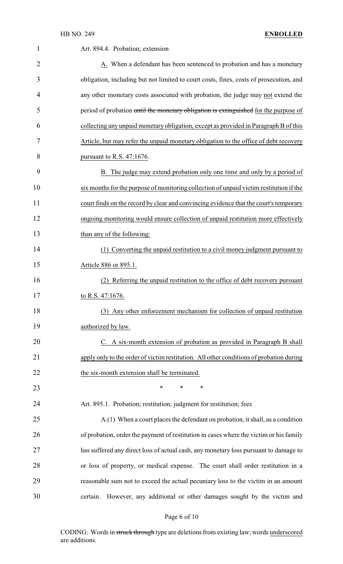| $\mathbf{1}$   | Art. 894.4. Probation; extension                                                        |
|----------------|-----------------------------------------------------------------------------------------|
| $\overline{2}$ | A. When a defendant has been sentenced to probation and has a monetary                  |
| 3              | obligation, including but not limited to court costs, fines, costs of prosecution, and  |
| 4              | any other monetary costs associated with probation, the judge may not extend the        |
| 5              | period of probation until the monetary obligation is extinguished for the purpose of    |
| 6              | collecting any unpaid monetary obligation, except as provided in Paragraph B of this    |
| 7              | Article, but may refer the unpaid monetary obligation to the office of debt recovery    |
| 8              | pursuant to R.S. $47:1676$ .                                                            |
| 9              | B. The judge may extend probation only one time and only by a period of                 |
| 10             | six months for the purpose of monitoring collection of unpaid victim restitution if the |
| 11             | court finds on the record by clear and convincing evidence that the court's temporary   |
| 12             | ongoing monitoring would ensure collection of unpaid restitution more effectively       |
| 13             | than any of the following:                                                              |
| 14             | (1) Converting the unpaid restitution to a civil money judgment pursuant to             |
| 15             | Article 886 or 895.1.                                                                   |
| 16             | Referring the unpaid restitution to the office of debt recovery pursuant                |
| 17             | to R.S. 47:1676.                                                                        |
| 18             | (3) Any other enforcement mechanism for collection of unpaid restitution                |
| 19             | authorized by law.                                                                      |
| 20             | C. A six-month extension of probation as provided in Paragraph B shall                  |
| 21             | apply only to the order of victim restitution. All other conditions of probation during |
| 22             | the six-month extension shall be terminated.                                            |
| 23             | $\ast$<br>*<br>*                                                                        |
| 24             | Art. 895.1. Probation; restitution; judgment for restitution; fees                      |
| 25             | A.(1) When a court places the defendant on probation, it shall, as a condition          |
| 26             | of probation, order the payment of restitution in cases where the victim or his family  |
| 27             | has suffered any direct loss of actual cash, any monetary loss pursuant to damage to    |
| 28             | or loss of property, or medical expense. The court shall order restitution in a         |
| 29             | reasonable sum not to exceed the actual pecuniary loss to the victim in an amount       |
| 30             | However, any additional or other damages sought by the victim and<br>certain.           |

## Page 6 of 10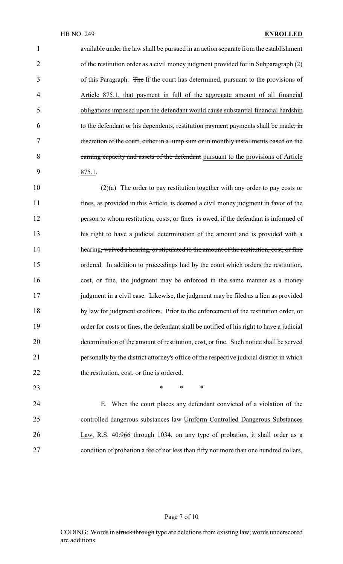available under the law shall be pursued in an action separate from the establishment of the restitution order as a civil money judgment provided for in Subparagraph (2) 3 of this Paragraph. The If the court has determined, pursuant to the provisions of Article 875.1, that payment in full of the aggregate amount of all financial obligations imposed upon the defendant would cause substantial financial hardship to the defendant or his dependents, restitution payment payments shall be made, in discretion of the court, either in a lump sum or in monthly installments based on the 8 earning capacity and assets of the defendant pursuant to the provisions of Article 875.1.

 (2)(a) The order to pay restitution together with any order to pay costs or fines, as provided in this Article, is deemed a civil money judgment in favor of the person to whom restitution, costs, or fines is owed, if the defendant is informed of his right to have a judicial determination of the amount and is provided with a 14 hearing, waived a hearing, or stipulated to the amount of the restitution, cost, or fine 15 ordered. In addition to proceedings had by the court which orders the restitution, cost, or fine, the judgment may be enforced in the same manner as a money 17 judgment in a civil case. Likewise, the judgment may be filed as a lien as provided by law for judgment creditors. Prior to the enforcement of the restitution order, or order for costs or fines, the defendant shall be notified of his right to have a judicial determination of the amount of restitution, cost, or fine. Such notice shall be served personally by the district attorney's office of the respective judicial district in which 22 the restitution, cost, or fine is ordered.

**\*** \* \* \*

 E. When the court places any defendant convicted of a violation of the controlled dangerous substances law Uniform Controlled Dangerous Substances Law, R.S. 40:966 through 1034, on any type of probation, it shall order as a condition of probation a fee of not less than fifty nor more than one hundred dollars,

#### Page 7 of 10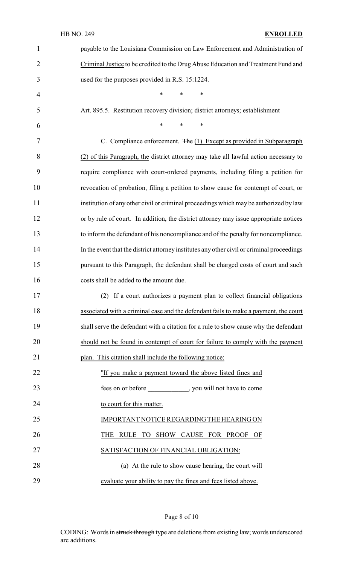### HB NO. 249 **ENROLLED**

| $\mathbf{1}$   | payable to the Louisiana Commission on Law Enforcement and Administration of               |
|----------------|--------------------------------------------------------------------------------------------|
| $\overline{2}$ | Criminal Justice to be credited to the Drug Abuse Education and Treatment Fund and         |
| 3              | used for the purposes provided in R.S. 15:1224.                                            |
| 4              | *<br>*<br>$\ast$                                                                           |
| 5              | Art. 895.5. Restitution recovery division; district attorneys; establishment               |
| 6              | *<br>$\ast$<br>$\ast$                                                                      |
| 7              | C. Compliance enforcement. $\overline{\text{The}}(1)$ Except as provided in Subparagraph   |
| 8              | (2) of this Paragraph, the district attorney may take all lawful action necessary to       |
| 9              | require compliance with court-ordered payments, including filing a petition for            |
| 10             | revocation of probation, filing a petition to show cause for contempt of court, or         |
| 11             | institution of any other civil or criminal proceedings which may be authorized by law      |
| 12             | or by rule of court. In addition, the district attorney may issue appropriate notices      |
| 13             | to inform the defendant of his noncompliance and of the penalty for noncompliance.         |
| 14             | In the event that the district attorney institutes any other civil or criminal proceedings |
| 15             | pursuant to this Paragraph, the defendant shall be charged costs of court and such         |
| 16             | costs shall be added to the amount due.                                                    |
| 17             | (2) If a court authorizes a payment plan to collect financial obligations                  |
| 18             | associated with a criminal case and the defendant fails to make a payment, the court       |
| 19             | shall serve the defendant with a citation for a rule to show cause why the defendant       |
| 20             | should not be found in contempt of court for failure to comply with the payment            |
| 21             | plan. This citation shall include the following notice:                                    |
| 22             | "If you make a payment toward the above listed fines and                                   |
| 23             | fees on or before<br>, you will not have to come                                           |
| 24             | to court for this matter.                                                                  |
| 25             | IMPORTANT NOTICE REGARDING THE HEARING ON                                                  |
| 26             | RULE TO SHOW CAUSE FOR PROOF OF<br>THE                                                     |
| 27             | SATISFACTION OF FINANCIAL OBLIGATION:                                                      |
| 28             | (a) At the rule to show cause hearing, the court will                                      |
| 29             | evaluate your ability to pay the fines and fees listed above.                              |

Page 8 of 10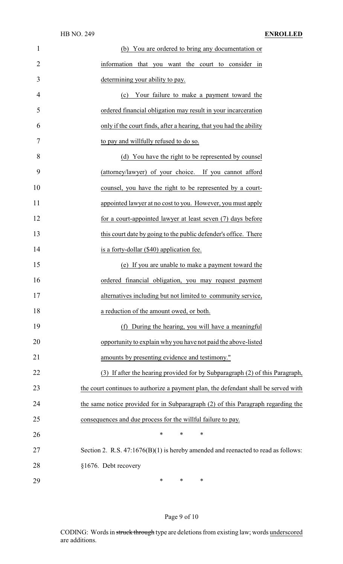| $\mathbf{1}$   | (b) You are ordered to bring any documentation or                                   |
|----------------|-------------------------------------------------------------------------------------|
| $\overline{2}$ | information that you want the court to consider in                                  |
| 3              | determining your ability to pay.                                                    |
| 4              | Your failure to make a payment toward the<br>(c)                                    |
| 5              | ordered financial obligation may result in your incarceration                       |
| 6              | only if the court finds, after a hearing, that you had the ability                  |
| 7              | to pay and willfully refused to do so.                                              |
| 8              | (d) You have the right to be represented by counsel                                 |
| 9              | (attorney/lawyer) of your choice. If you cannot afford                              |
| 10             | counsel, you have the right to be represented by a court-                           |
| 11             | appointed lawyer at no cost to you. However, you must apply                         |
| 12             | for a court-appointed lawyer at least seven (7) days before                         |
| 13             | this court date by going to the public defender's office. There                     |
| 14             | is a forty-dollar (\$40) application fee.                                           |
| 15             | (e) If you are unable to make a payment toward the                                  |
| 16             | ordered financial obligation, you may request payment                               |
| 17             | alternatives including but not limited to community service,                        |
| 18             | a reduction of the amount owed, or both.                                            |
| 19             | (f) During the hearing, you will have a meaningful                                  |
| 20             | opportunity to explain why you have not paid the above-listed                       |
| 21             | amounts by presenting evidence and testimony."                                      |
| 22             | (3) If after the hearing provided for by Subparagraph (2) of this Paragraph,        |
| 23             | the court continues to authorize a payment plan, the defendant shall be served with |
| 24             | the same notice provided for in Subparagraph (2) of this Paragraph regarding the    |
| 25             | consequences and due process for the willful failure to pay.                        |
| 26             | $\ast$<br>∗<br>∗                                                                    |
| 27             | Section 2. R.S. $47:1676(B)(1)$ is hereby amended and reenacted to read as follows: |
| 28             | §1676. Debt recovery                                                                |
| 29             | ∗<br>∗<br>$\ast$                                                                    |

## Page 9 of 10